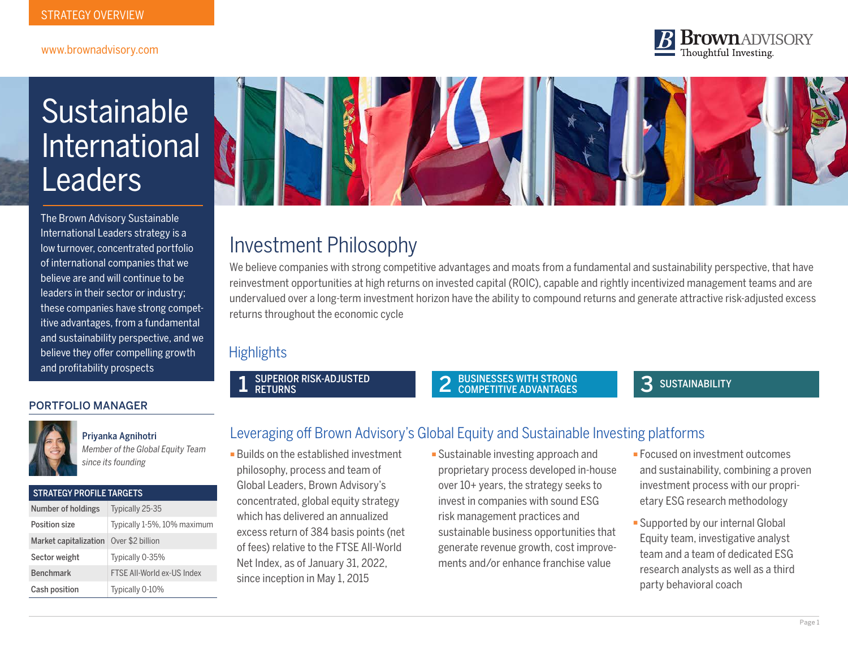#### www.brownadvisory.com

#### **Brown** ADVISORY Thoughtful Investing.

# Sustainable International **Leaders**

The Brown Advisory Sustainable International Leaders strategy is a low turnover, concentrated portfolio of international companies that we believe are and will continue to be leaders in their sector or industry; these companies have strong competitive advantages, from a fundamental and sustainability perspective, and we believe they offer compelling growth and profitability prospects

#### PORTFOLIO MANAGER

STRATEGY PROFILE TARGETS



#### Priyanka Agnihotri

*Member of the Global Equity Team since its founding*

| <b>SINAILUI FRUFILE IARUEIS</b> |                             |  |  |  |  |
|---------------------------------|-----------------------------|--|--|--|--|
| Number of holdings              | Typically 25-35             |  |  |  |  |
| Position size                   | Typically 1-5%, 10% maximum |  |  |  |  |
|                                 | $A = A + B$                 |  |  |  |  |

#### Market capitalization | Over \$2 billion Sector weight Typically 0-35% Benchmark FTSE All-World ex-US Index Cash position Typically 0-10%



### Investment Philosophy

We believe companies with strong competitive advantages and moats from a fundamental and sustainability perspective, that have reinvestment opportunities at high returns on invested capital (ROIC), capable and rightly incentivized management teams and are undervalued over a long-term investment horizon have the ability to compound returns and generate attractive risk-adjusted excess returns throughout the economic cycle

### **Highlights**

SUPERIOR RISK-ADJUSTED **RETURNS** 

### BUSINESSES WITH STRONG 2 3 SUSTAINABILITY

#### Leveraging off Brown Advisory's Global Equity and Sustainable Investing platforms

- **Builds on the established investment** philosophy, process and team of Global Leaders, Brown Advisory's concentrated, global equity strategy which has delivered an annualized excess return of 384 basis points (net of fees) relative to the FTSE All-World Net Index, as of January 31, 2022, since inception in May 1, 2015
- **Example Sustainable investing approach and** proprietary process developed in-house over 10+ years, the strategy seeks to invest in companies with sound ESG risk management practices and sustainable business opportunities that generate revenue growth, cost improvements and/or enhance franchise value
- **Focused on investment outcomes** and sustainability, combining a proven investment process with our proprietary ESG research methodology
- **Example 1** Supported by our internal Global Equity team, investigative analyst team and a team of dedicated ESG research analysts as well as a third party behavioral coach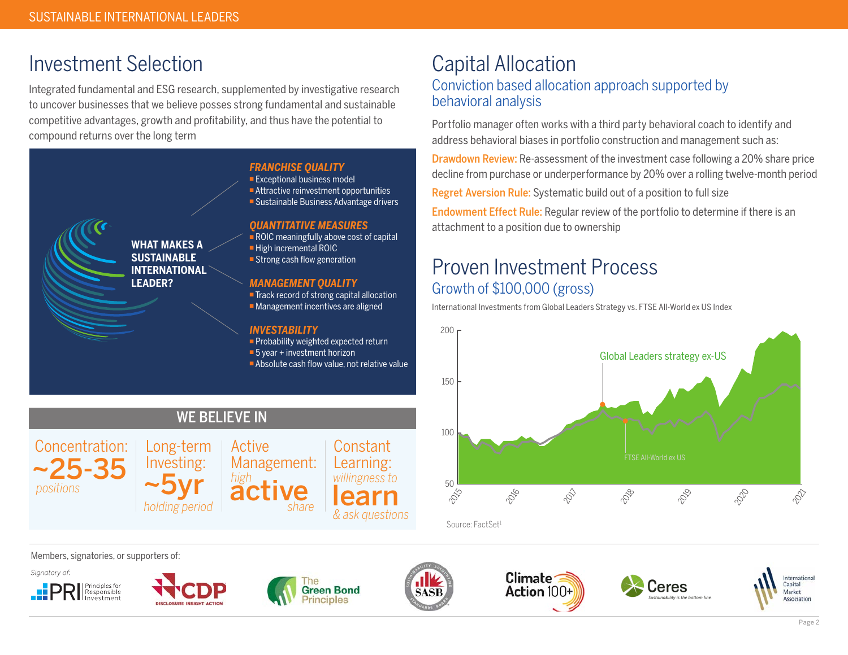## Investment Selection

Integrated fundamental and ESG research, supplemented by investigative research to uncover businesses that we believe posses strong fundamental and sustainable competitive advantages, growth and profitability, and thus have the potential to compound returns over the long term

WE BELIEVE IN



#### *FRANCHISE QUALITY*

**Exceptional business model** 

- <sup>n</sup> Attractive reinvestment opportunities
- Sustainable Business Advantage drivers

#### *QUANTITATIVE MEASURES*

 $\blacksquare$  ROIC meaningfully above cost of capital

- $\blacksquare$  High incremental ROIC
- $\blacksquare$  Strong cash flow generation

#### *MANAGEMENT QUALITY*

■ Track record of strong capital allocation  $\blacksquare$  Management incentives are aligned

#### *INVESTABILITY*

**active** 

Management:

Active

*high*

 $\blacksquare$  Probability weighted expected return

- $\blacksquare$  5 year + investment horizon
- $\blacksquare$  Absolute cash flow value, not relative value

learn *willingness to*

Constant Learning:

*& ask questions*

### Capital Allocation Conviction based allocation approach supported by behavioral analysis

Portfolio manager often works with a third party behavioral coach to identify and address behavioral biases in portfolio construction and management such as:

Drawdown Review: Re-assessment of the investment case following a 20% share price decline from purchase or underperformance by 20% over a rolling twelve-month period

Regret Aversion Rule: Systematic build out of a position to full size

Endowment Effect Rule: Regular review of the portfolio to determine if there is an attachment to a position due to ownership

### Proven Investment Process Growth of \$100,000 (gross)

International Investments from Global Leaders Strategy vs. FTSE All-World ex US Index



Members, signatories, or supporters of:



*positions*



~25-35

Concentration:



~5yr *holding period*

Long-term Investing:



*share*



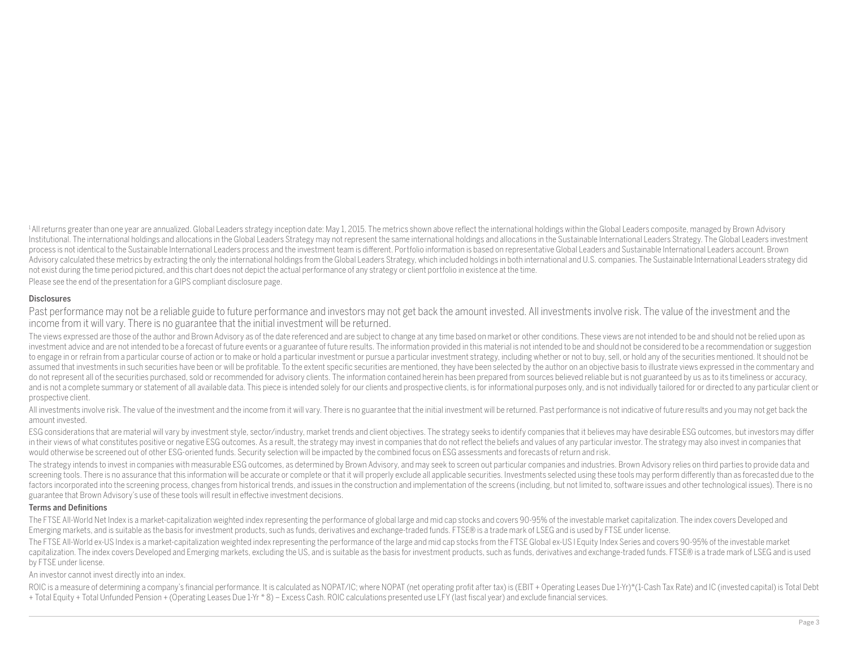<sup>1</sup>All returns greater than one year are annualized. Global Leaders strategy inception date: May 1, 2015. The metrics shown above reflect the international holdings within the Global Leaders composite, managed by Brown Adv Institutional. The international holdings and allocations in the Global Leaders Strategy may not represent the same international holdings and allocations in the Sustainable International Leaders Strategy. The Global Leade process is not identical to the Sustainable International Leaders process and the investment team is different. Portfolio information is based on representative Global Leaders and Sustainable International Leaders account. Advisory calculated these metrics by extracting the only the international holdings from the Global Leaders Strategy, which included holdings in both international and U.S. companies. The Sustainable International Leaders not exist during the time period pictured, and this chart does not depict the actual performance of any strategy or client portfolio in existence at the time.

Please see the end of the presentation for a GIPS compliant disclosure page.

#### **Disclosures**

Past performance may not be a reliable guide to future performance and investors may not get back the amount invested. All investments involve risk. The value of the investment and the income from it will vary. There is no guarantee that the initial investment will be returned.

The views expressed are those of the author and Brown Advisory as of the date referenced and are subject to change at any time based on market or other conditions. These views are not intended to be and should not be relie investment advice and are not intended to be a forecast of future events or a guarantee of future results. The information provided in this material is not intended to be and should not be considered to be a recommendation to engage in or refrain from a particular course of action or to make or hold a particular investment or pursue a particular investment strategy, including whether or not to buy, sell, or hold any of the securities mention assumed that investments in such securities have been or will be profitable. To the extent specific securities are mentioned, they have been selected by the author on an objective basis to illustrate views expressed in the do not represent all of the securities purchased, sold or recommended for advisory clients. The information contained herein has been prepared from sources believed reliable but is not guaranteed by us as to its timeliness and is not a complete summary or statement of all available data. This piece is intended solely for our clients and prospective clients, is for informational purposes only, and is not individually tailored for or directed prospective client.

All investments involve risk. The value of the investment and the income from it will vary. There is no guarantee that the initial investment will be returned. Past performance is not indicative of future results and you m amount invested.

ESG considerations that are material will vary by investment style, sector/industry, market trends and client objectives. The strategy seeks to identify companies that it believes may have desirable ESG outcomes, but inves in their views of what constitutes positive or negative ESG outcomes. As a result, the strategy may invest in companies that do not reflect the beliefs and values of any particular investor. The strategy may also invest in would otherwise be screened out of other ESG-oriented funds. Security selection will be impacted by the combined focus on ESG assessments and forecasts of return and risk.

The strategy intends to invest in companies with measurable ESG outcomes, as determined by Brown Advisory, and may seek to screen out particular companies and industries. Brown Advisory relies on third parties to provide d screening tools. There is no assurance that this information will be accurate or complete or that it will properly exclude all applicable securities. Investments selected using these tools may perform differently than as f factors incorporated into the screening process, changes from historical trends, and issues in the construction and implementation of the screens (including, but not limited to, software issues and other technological issu guarantee that Brown Advisory's use of these tools will result in effective investment decisions.

#### Terms and Definitions

The FTSE All-World Net Index is a market-capitalization weighted index representing the performance of global large and mid cap stocks and covers 90-95% of the investable market capitalization. The index covers Developed a Emerging markets, and is suitable as the basis for investment products, such as funds, derivatives and exchange-traded funds. FTSE® is a trade mark of LSEG and is used by FTSE under license.

The FTSE All-World ex-US Index is a market-capitalization weighted index representing the performance of the large and mid cap stocks from the FTSE Global ex-US I Equity Index Series and covers 90-95% of the investable mar capitalization. The index covers Developed and Emerging markets, excluding the US, and is suitable as the basis for investment products, such as funds, derivatives and exchange-traded funds. FTSE® is a trade mark of LSEG a by FTSE under license.

#### An investor cannot invest directly into an index.

ROIC is a measure of determining a company's financial performance. It is calculated as NOPAT/IC; where NOPAT (net operating profit after tax) is (EBIT + Operating Leases Due 1-Yr)\*(1-Cash Tax Rate) and IC (invested capita + Total Equity + Total Unfunded Pension + (Operating Leases Due 1-Yr \* 8) – Excess Cash. ROIC calculations presented use LFY (last fiscal year) and exclude financial services.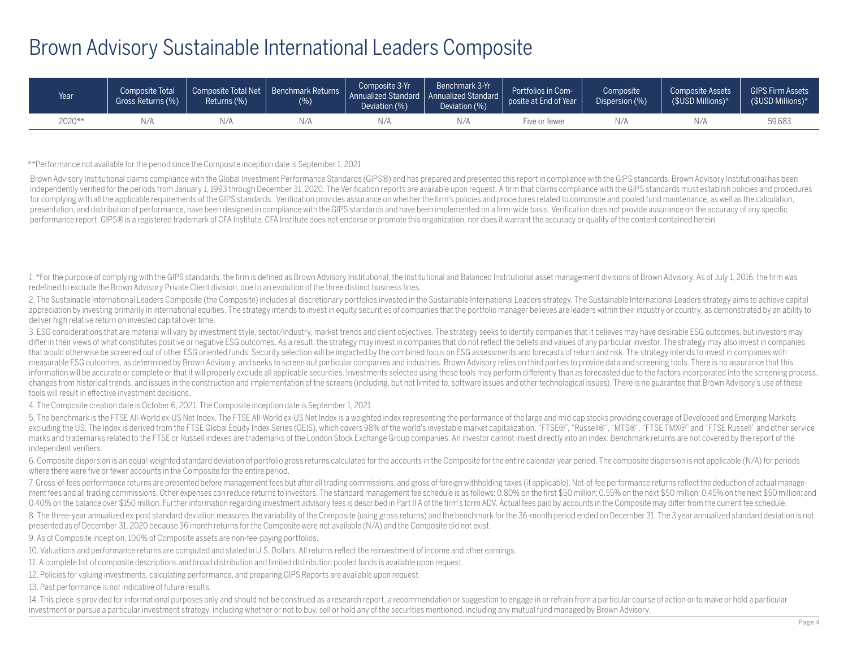### Brown Advisory Sustainable International Leaders Composite

| Year   | Composite Total<br>Gross Returns (%) | Composite Total Net<br>Returns (%) | Benchmark Returns<br>(%) | Composite 3-Yr<br>Annualized Standard   Annualized Standard<br>Deviation (%) | Benchmark 3-Yr<br>Deviation (%) | Portfolios in Com-<br>posite at End of Year | Composite<br>Dispersion (%) | <b>Composite Assets</b><br>$$USD$ Millions)* | <b>GIPS Firm Assets</b><br>(\$USD Millions)* |
|--------|--------------------------------------|------------------------------------|--------------------------|------------------------------------------------------------------------------|---------------------------------|---------------------------------------------|-----------------------------|----------------------------------------------|----------------------------------------------|
| 2020** |                                      | $V \Gamma$                         | N/A                      | N//                                                                          | N/A                             | uve or fewer :                              | N/A                         | N/A                                          | 59,683                                       |

\*\*Performance not available for the period since the Composite inception date is September 1, 2021

Brown Advisory Institutional claims compliance with the Global Investment Performance Standards (GIPS®) and has prepared and presented this report in compliance with the GIPS standards. Brown Advisory Institutional has bee independently verified for the periods from January 1, 1993 through December 31, 2020. The Verification reports are available upon request. A firm that claims compliance with the GIPS standards must establish policies and for complying with all the applicable requirements of the GIPS standards. Verification provides assurance on whether the firm's policies and procedures related to composite and pooled fund maintenance, as well as the calcu presentation, and distribution of performance, have been designed in compliance with the GIPS standards and have been implemented on a firm-wide basis. Verification does not provide assurance on the accuracy of any specifi performance report. GIPS® is a registered trademark of CFA Institute. CFA Institute does not endorse or promote this organization, nor does it warrant the accuracy or quality of the content contained herein.

1. \*For the purpose of complying with the GIPS standards, the firm is defined as Brown Advisory Institutional, the Institutional and Balanced Institutional asset management divisions of Brown Advisory. As of July 1, 2016, redefined to exclude the Brown Advisory Private Client division, due to an evolution of the three distinct business lines.

2. The Sustainable International Leaders Composite (the Composite) includes all discretionary portfolios invested in the Sustainable International Leaders strategy. The Sustainable International Leaders strategy aims to ac appreciation by investing primarily in international equities. The strategy intends to invest in equity securities of companies that the portfolio manager believes are leaders within their industry or country, as demonstra deliver high relative return on invested capital over time.

3. ESG considerations that are material will vary by investment style, sector/industry, market trends and client objectives. The strategy seeks to identify companies that it believes may have desirable ESG outcomes, but in differ in their views of what constitutes positive or negative ESG outcomes. As a result, the strategy may invest in companies that do not reflect the beliefs and values of any particular investor. The strategy may also in that would otherwise be screened out of other ESG oriented funds. Security selection will be impacted by the combined focus on ESG assessments and forecasts of return and risk. The strategy intends to invest in companies w measurable ESG outcomes, as determined by Brown Advisory, and seeks to screen out particular companies and industries. Brown Advisory relies on third parties to provide data and screening tools. There is no assurance that information will be accurate or complete or that it will properly exclude all applicable securities. Investments selected using these tools may perform differently than as forecasted due to the factors incorporated into th changes from historical trends, and issues in the construction and implementation of the screens (including, but not limited to, software issues and other technological issues). There is no guarantee that Brown Advisory's tools will result in effective investment decisions.

4. The Composite creation date is October 6, 2021. The Composite inception date is September 1, 2021.

5. The benchmark is the FTSE All-World ex-US Net Index. The FTSE All-World ex-US Net Index is a weighted index representing the performance of the large and mid cap stocks providing coverage of Developed and Emerging Markets excluding the US. The Index is derived from the FTSF Global Fquity Index Series (GFIS), which covers 98% of the world's investable market capitalization. "FTSF®", "Russell®", "MTS®", "FTSF TMX®" and "FTSF Russell" and othe marks and trademarks related to the FTSE or Russell indexes are trademarks of the London Stock Exchange Group companies. An investor cannot invest directly into an index. Benchmark returns are not covered by the report of independent verifiers.

6. Composite dispersion is an equal-weighted standard deviation of portfolio gross returns calculated for the accounts in the Composite for the entire calendar year period. The composite dispersion is not applicable (N/A) where there were five or fewer accounts in the Composite for the entire period.

7. Gross-of-fees performance returns are presented before management fees but after all trading commissions, and gross of foreign withholding taxes (if applicable). Net-of-fee performance returns reflect the deduction of a ment fees and all trading commissions. Other expenses can reduce returns to investors. The standard management fee schedule is as follows: 0.80% on the first \$50 million; 0.55% on the next \$50 million; 0.45% on the next \$5 0.40% on the balance over \$150 million. Further information regarding investment advisory fees is described in Part II A of the firm's form ADV. Actual fees paid by accounts in the Composite may differ from the current fee

8. The three-year annualized ex-post standard deviation measures the variability of the Composite (using gross returns) and the benchmark for the 36-month period ended on December 31. The 3 year annualized standard deviati presented as of December 31, 2020 because 36 month returns for the Composite were not available (N/A) and the Composite did not exist.

9. As of Composite inception, 100% of Composite assets are non-fee-paying portfolios.

10. Valuations and performance returns are computed and stated in U.S. Dollars. All returns reflect the reinvestment of income and other earnings.

11. A complete list of composite descriptions and broad distribution and limited distribution pooled funds is available upon request.

12. Policies for valuing investments, calculating performance, and preparing GIPS Reports are available upon request.

13. Past performance is not indicative of future results.

14. This piece is provided for informational purposes only and should not be construed as a research report, a recommendation or suggestion to engage in or refrain from a particular course of action or to make or hold a pa investment or pursue a particular investment strategy, including whether or not to buy, sell or hold any of the securities mentioned, including any mutual fund managed by Brown Advisory.